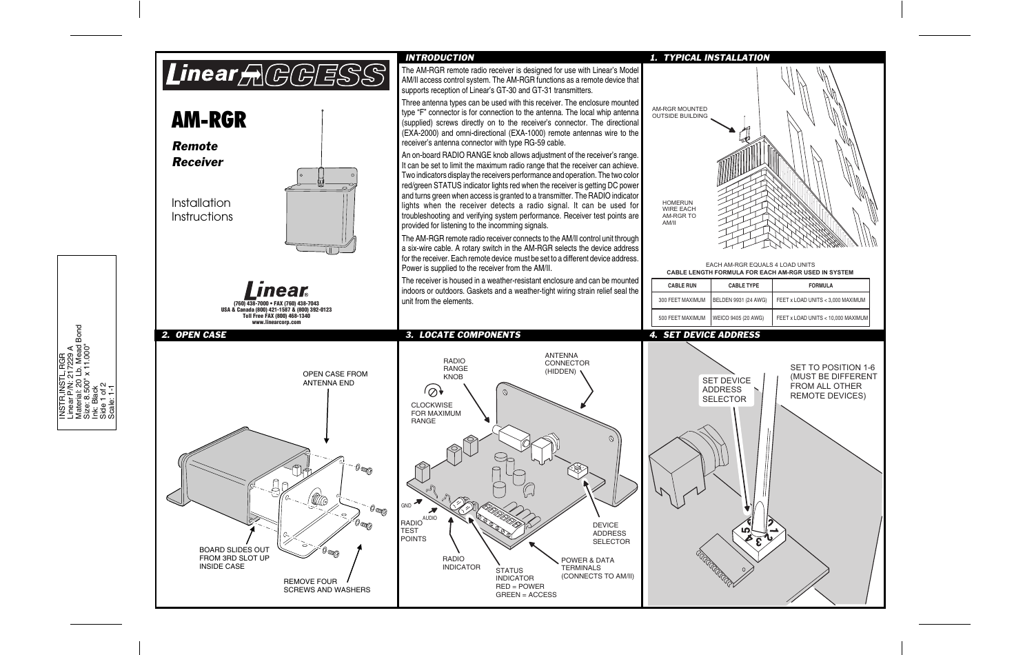